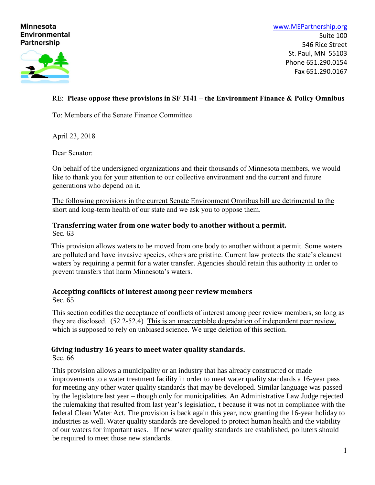### **Minnesota Environmental Partnership**



[www.MEPartnership.org](http://www.mepartnership.org/) Suite 100 546 Rice Street St. Paul, MN 55103 Phone 651.290.0154 Fax 651.290.0167

## RE: **Please oppose these provisions in SF 3141 – the Environment Finance & Policy Omnibus**

To: Members of the Senate Finance Committee

April 23, 2018

Dear Senator:

On behalf of the undersigned organizations and their thousands of Minnesota members, we would like to thank you for your attention to our collective environment and the current and future generations who depend on it.

The following provisions in the current Senate Environment Omnibus bill are detrimental to the short and long-term health of our state and we ask you to oppose them.

#### **Transferring water from one water body to another without a permit.** Sec. 63

This provision allows waters to be moved from one body to another without a permit. Some waters are polluted and have invasive species, others are pristine. Current law protects the state's cleanest waters by requiring a permit for a water transfer. Agencies should retain this authority in order to prevent transfers that harm Minnesota's waters.

# **Accepting conflicts of interest among peer review members**

Sec. 65

This section codifies the acceptance of conflicts of interest among peer review members, so long as they are disclosed. (52.2-52.4) This is an unacceptable degradation of independent peer review, which is supposed to rely on unbiased science. We urge deletion of this section.

### **Giving industry 16 years to meet water quality standards.**

Sec. 66

This provision allows a municipality or an industry that has already constructed or made improvements to a water treatment facility in order to meet water quality standards a 16-year pass for meeting any other water quality standards that may be developed. Similar language was passed by the legislature last year – though only for municipalities. An Administrative Law Judge rejected the rulemaking that resulted from last year's legislation, t because it was not in compliance with the federal Clean Water Act. The provision is back again this year, now granting the 16-year holiday to industries as well. Water quality standards are developed to protect human health and the viability of our waters for important uses. If new water quality standards are established, polluters should be required to meet those new standards.